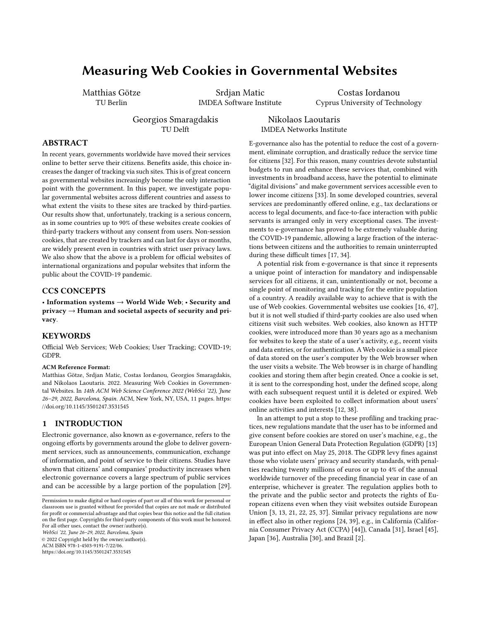# Measuring Web Cookies in Governmental Websites

Matthias Götze TU Berlin

Srdjan Matic IMDEA Software Institute

Costas Iordanou Cyprus University of Technology

Georgios Smaragdakis TU Delft

Nikolaos Laoutaris IMDEA Networks Institute

## ABSTRACT

In recent years, governments worldwide have moved their services online to better serve their citizens. Benefits aside, this choice increases the danger of tracking via such sites. This is of great concern as governmental websites increasingly become the only interaction point with the government. In this paper, we investigate popular governmental websites across different countries and assess to what extent the visits to these sites are tracked by third-parties. Our results show that, unfortunately, tracking is a serious concern, as in some countries up to 90% of these websites create cookies of third-party trackers without any consent from users. Non-session cookies, that are created by trackers and can last for days or months, are widely present even in countries with strict user privacy laws. We also show that the above is a problem for official websites of international organizations and popular websites that inform the public about the COVID-19 pandemic.

## CCS CONCEPTS

• Information systems  $\rightarrow$  World Wide Web; • Security and  $\text{privacy} \rightarrow \text{Human and societal aspects of security and pri-}$ vacy.

## KEYWORDS

Official Web Services; Web Cookies; User Tracking; COVID-19; GDPR.

#### ACM Reference Format:

Matthias Götze, Srdjan Matic, Costas Iordanou, Georgios Smaragdakis, and Nikolaos Laoutaris. 2022. Measuring Web Cookies in Governmental Websites. In 14th ACM Web Science Conference 2022 (WebSci '22), June 26–29, 2022, Barcelona, Spain. ACM, New York, NY, USA, [11](#page-10-0) pages. [https:](https://doi.org/10.1145/3501247.3531545) [//doi.org/10.1145/3501247.3531545](https://doi.org/10.1145/3501247.3531545)

## 1 INTRODUCTION

Electronic governance, also known as e-governance, refers to the ongoing efforts by governments around the globe to deliver government services, such as announcements, communication, exchange of information, and point of service to their citizens. Studies have shown that citizens' and companies' productivity increases when electronic governance covers a large spectrum of public services and can be accessible by a large portion of the population [\[29\]](#page-10-1).

WebSci '22, June 26–29, 2022, Barcelona, Spain

© 2022 Copyright held by the owner/author(s). ACM ISBN 978-1-4503-9191-7/22/06.

<https://doi.org/10.1145/3501247.3531545>

E-governance also has the potential to reduce the cost of a government, eliminate corruption, and drastically reduce the service time for citizens [\[32\]](#page-10-2). For this reason, many countries devote substantial budgets to run and enhance these services that, combined with investments in broadband access, have the potential to eliminate "digital divisions" and make government services accessible even to lower income citizens [\[33\]](#page-10-3). In some developed countries, several services are predominantly offered online, e.g., tax declarations or access to legal documents, and face-to-face interaction with public servants is arranged only in very exceptional cases. The investments to e-governance has proved to be extremely valuable during the COVID-19 pandemic, allowing a large fraction of the interactions between citizens and the authorities to remain uninterrupted during these difficult times [\[17,](#page-10-4) [34\]](#page-10-5).

A potential risk from e-governance is that since it represents a unique point of interaction for mandatory and indispensable services for all citizens, it can, unintentionally or not, become a single point of monitoring and tracking for the entire population of a country. A readily available way to achieve that is with the use of Web cookies. Governmental websites use cookies [\[16,](#page-10-6) [47\]](#page-10-7), but it is not well studied if third-party cookies are also used when citizens visit such websites. Web cookies, also known as HTTP cookies, were introduced more than 30 years ago as a mechanism for websites to keep the state of a user's activity, e.g., recent visits and data entries, or for authentication. A Web cookie is a small piece of data stored on the user's computer by the Web browser when the user visits a website. The Web browser is in charge of handling cookies and storing them after begin created. Once a cookie is set, it is sent to the corresponding host, under the defined scope, along with each subsequent request until it is deleted or expired. Web cookies have been exploited to collect information about users' online activities and interests [\[12,](#page-10-8) [38\]](#page-10-9).

In an attempt to put a stop to these profiling and tracking practices, new regulations mandate that the user has to be informed and give consent before cookies are stored on user's machine, e.g., the European Union General Data Protection Regulation (GDPR) [\[13\]](#page-10-10) was put into effect on May 25, 2018. The GDPR levy fines against those who violate users' privacy and security standards, with penalties reaching twenty millions of euros or up to 4% of the annual worldwide turnover of the preceding financial year in case of an enterprise, whichever is greater. The regulation applies both to the private and the public sector and protects the rights of European citizens even when they visit websites outside European Union [\[3,](#page-10-11) [13,](#page-10-10) [21,](#page-10-12) [22,](#page-10-13) [25,](#page-10-14) [37\]](#page-10-15). Similar privacy regulations are now in effect also in other regions [\[24,](#page-10-16) [39\]](#page-10-17), e.g., in California (California Consumer Privacy Act (CCPA) [\[44\]](#page-10-18)), Canada [\[31\]](#page-10-19), Israel [\[45\]](#page-10-20), Japan [\[36\]](#page-10-21), Australia [\[30\]](#page-10-22), and Brazil [\[2\]](#page-10-23).

Permission to make digital or hard copies of part or all of this work for personal or classroom use is granted without fee provided that copies are not made or distributed for profit or commercial advantage and that copies bear this notice and the full citation on the first page. Copyrights for third-party components of this work must be honored. For all other uses, contact the owner/author(s).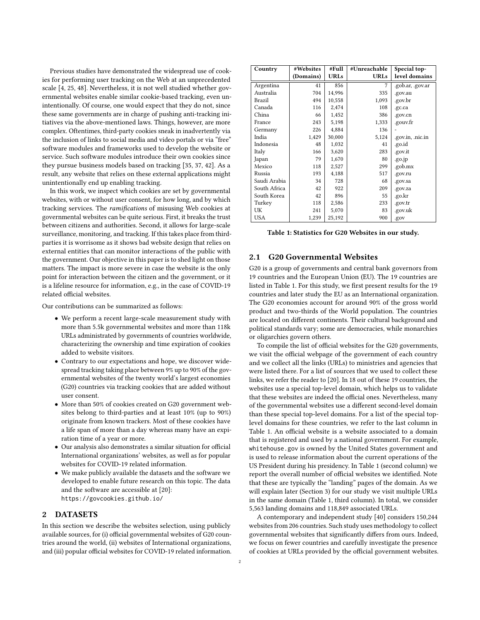Previous studies have demonstrated the widespread use of cookies for performing user tracking on the Web at an unprecedented scale [\[4,](#page-10-24) [25,](#page-10-14) [48\]](#page-10-25). Nevertheless, it is not well studied whether governmental websites enable similar cookie-based tracking, even unintentionally. Of course, one would expect that they do not, since these same governments are in charge of pushing anti-tracking initiatives via the above-mentioned laws. Things, however, are more complex. Oftentimes, third-party cookies sneak in inadvertently via the inclusion of links to social media and video portals or via "free" software modules and frameworks used to develop the website or service. Such software modules introduce their own cookies since they pursue business models based on tracking [\[35,](#page-10-26) [37,](#page-10-15) [42\]](#page-10-27). As a result, any website that relies on these external applications might unintentionally end up enabling tracking.

In this work, we inspect which cookies are set by governmental websites, with or without user consent, for how long, and by which tracking services. The ramifications of misusing Web cookies at governmental websites can be quite serious. First, it breaks the trust between citizens and authorities. Second, it allows for large-scale surveillance, monitoring, and tracking. If this takes place from thirdparties it is worrisome as it shows bad website design that relies on external entities that can monitor interactions of the public with the government. Our objective in this paper is to shed light on those matters. The impact is more severe in case the website is the only point for interaction between the citizen and the government, or it is a lifeline resource for information, e.g., in the case of COVID-19 related official websites.

Our contributions can be summarized as follows:

- We perform a recent large-scale measurement study with more than 5.5k governmental websites and more than 118k URLs administrated by governments of countries worldwide, characterizing the ownership and time expiration of cookies added to website visitors.
- Contrary to our expectations and hope, we discover widespread tracking taking place between 9% up to 90% of the governmental websites of the twenty world's largest economies (G20) countries via tracking cookies that are added without user consent.
- More than 50% of cookies created on G20 government websites belong to third-parties and at least 10% (up to 90%) originate from known trackers. Most of these cookies have a life span of more than a day whereas many have an expiration time of a year or more.
- Our analysis also demonstrates a similar situation for official International organizations' websites, as well as for popular websites for COVID-19 related information.
- We make publicly available the datasets and the software we developed to enable future research on this topic. The data and the software are accessible at [\[20\]](#page-10-28): https://govcookies.github.io/

## <span id="page-1-1"></span>2 DATASETS

In this section we describe the websites selection, using publicly available sources, for (i) official governmental websites of G20 countries around the world, (ii) websites of International organizations, and (iii) popular official websites for COVID-19 related information.

<span id="page-1-0"></span>

| Country      | #Websites | #Full       | #Unreachable | Special top-     |
|--------------|-----------|-------------|--------------|------------------|
|              | (Domains) | <b>URLs</b> | <b>URLs</b>  | level domains    |
| Argentina    | 41        | 856         | 7            | .gob.ar, .gov.ar |
| Australia    | 704       | 14,996      | 335          | .gov.au          |
| Brazil       | 494       | 10,558      | 1,093        | .gov.br          |
| Canada       | 116       | 2,474       | 108          | .gc.ca           |
| China        | 66        | 1,452       | 386          | .gov.cn          |
| France       | 243       | 5,198       | 1,333        | .gouv.fr         |
| Germany      | 226       | 4,884       | 136          |                  |
| India        | 1,429     | 30,000      | 5,124        | .gov.in, .nic.in |
| Indonesia    | 48        | 1,032       | 41           | .go.id           |
| Italy        | 166       | 3,620       | 283          | .gov.it          |
| Japan        | 79        | 1,670       | 80           | .go.jp           |
| Mexico       | 118       | 2,527       | 299          | .gob.mx          |
| Russia       | 193       | 4,188       | 517          | .gov.ru          |
| Saudi Arabia | 34        | 728         | 68           | .gov.sa          |
| South Africa | 42        | 922         | 209          | .gov.za          |
| South Korea  | 42        | 896         | 55           | .go.kr           |
| Turkey       | 118       | 2,586       | 233          | .gov.tr          |
| UK           | 241       | 5,070       | 83           | .gov.uk          |
| <b>USA</b>   | 1,239     | 25,192      | 900          | .gov             |

Table 1: Statistics for G20 Websites in our study.

## 2.1 G20 Governmental Websites

G20 is a group of governments and central bank governors from 19 countries and the European Union (EU). The 19 countries are listed in Table [1.](#page-1-0) For this study, we first present results for the 19 countries and later study the EU as an International organization. The G20 economies account for around 90% of the gross world product and two-thirds of the World population. The countries are located on different continents. Their cultural background and political standards vary; some are democracies, while monarchies or oligarchies govern others.

To compile the list of official websites for the G20 governments, we visit the official webpage of the government of each country and we collect all the links (URLs) to ministries and agencies that were listed there. For a list of sources that we used to collect these links, we refer the reader to [\[20\]](#page-10-28). In 18 out of these 19 countries, the websites use a special top-level domain, which helps us to validate that these websites are indeed the official ones. Nevertheless, many of the governmental websites use a different second-level domain than these special top-level domains. For a list of the special toplevel domains for these countries, we refer to the last column in Table [1.](#page-1-0) An official website is a website associated to a domain that is registered and used by a national government. For example, whitehouse.gov is owned by the United States government and is used to release information about the current operations of the US President during his presidency. In Table [1](#page-1-0) (second column) we report the overall number of official websites we identified. Note that these are typically the "landing" pages of the domain. As we will explain later (Section [3\)](#page-2-0) for our study we visit multiple URLs in the same domain (Table [1,](#page-1-0) third column). In total, we consider 5,563 landing domains and 118,849 associated URLs.

A contemporary and independent study [\[40\]](#page-10-29) considers 150,244 websites from 206 countries. Such study uses methodology to collect governmental websites that significantly differs from ours. Indeed, we focus on fewer countries and carefully investigate the presence of cookies at URLs provided by the official government websites.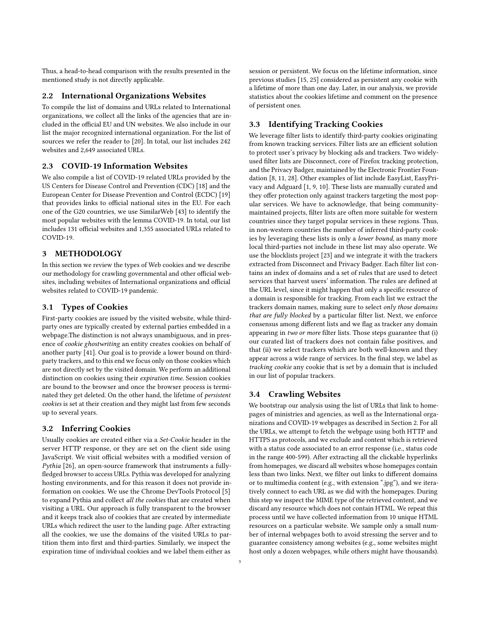Thus, a head-to-head comparison with the results presented in the mentioned study is not directly applicable.

#### 2.2 International Organizations Websites

To compile the list of domains and URLs related to International organizations, we collect all the links of the agencies that are included in the official EU and UN websites. We also include in our list the major recognized international organization. For the list of sources we refer the reader to [\[20\]](#page-10-28). In total, our list includes 242 websites and 2,649 associated URLs.

# 2.3 COVID-19 Information Websites

We also compile a list of COVID-19 related URLs provided by the US Centers for Disease Control and Prevention (CDC) [\[18\]](#page-10-30) and the European Center for Disease Prevention and Control (ECDC) [\[19\]](#page-10-31) that provides links to official national sites in the EU. For each one of the G20 countries, we use SimilarWeb [\[43\]](#page-10-32) to identify the most popular websites with the lemma COVID-19. In total, our list includes 131 official websites and 1,355 associated URLs related to COVID-19.

## <span id="page-2-0"></span>3 METHODOLOGY

In this section we review the types of Web cookies and we describe our methodology for crawling governmental and other official websites, including websites of International organizations and official websites related to COVID-19 pandemic.

## 3.1 Types of Cookies

First-party cookies are issued by the visited website, while thirdparty ones are typically created by external parties embedded in a webpage.The distinction is not always unambiguous, and in presence of cookie ghostwriting an entity creates cookies on behalf of another party [\[41\]](#page-10-33). Our goal is to provide a lower bound on thirdparty trackers, and to this end we focus only on those cookies which are not directly set by the visited domain. We perform an additional distinction on cookies using their expiration time. Session cookies are bound to the browser and once the browser process is terminated they get deleted. On the other hand, the lifetime of persistent cookies is set at their creation and they might last from few seconds up to several years.

## 3.2 Inferring Cookies

Usually cookies are created either via a Set-Cookie header in the server HTTP response, or they are set on the client side using JavaScript. We visit official websites with a modified version of Pythia [\[26\]](#page-10-34), an open-source framework that instruments a fullyfledged browser to access URLs. Pythia was developed for analyzing hosting environments, and for this reason it does not provide information on cookies. We use the Chrome DevTools Protocol [\[5\]](#page-10-35) to expand Pythia and collect all the cookies that are created when visiting a URL. Our approach is fully transparent to the browser and it keeps track also of cookies that are created by intermediate URLs which redirect the user to the landing page. After extracting all the cookies, we use the domains of the visited URLs to partition them into first and third-parties. Similarly, we inspect the expiration time of individual cookies and we label them either as

session or persistent. We focus on the lifetime information, since previous studies [\[15,](#page-10-36) [25\]](#page-10-14) considered as persistent any cookie with a lifetime of more than one day. Later, in our analysis, we provide statistics about the cookies lifetime and comment on the presence of persistent ones.

## 3.3 Identifying Tracking Cookies

We leverage filter lists to identify third-party cookies originating from known tracking services. Filter lists are an efficient solution to protect user's privacy by blocking ads and trackers. Two widelyused filter lists are Disconnect, core of Firefox tracking protection, and the Privacy Badger, maintained by the Electronic Frontier Foundation [\[8,](#page-10-37) [11,](#page-10-38) [28\]](#page-10-39). Other examples of list include EasyList, EasyPrivacy and Adguard [\[1,](#page-10-40) [9,](#page-10-41) [10\]](#page-10-42). These lists are manually curated and they offer protection only against trackers targeting the most popular services. We have to acknowledge, that being communitymaintained projects, filter lists are often more suitable for western countries since they target popular services in these regions. Thus, in non-western countries the number of inferred third-party cookies by leveraging these lists is only a lower bound, as many more local third-parties not include in these list may also operate. We use the blocklists project [\[23\]](#page-10-43) and we integrate it with the trackers extracted from Disconnect and Privacy Badger. Each filter list contains an index of domains and a set of rules that are used to detect services that harvest users' information. The rules are defined at the URL level, since it might happen that only a specific resource of a domain is responsible for tracking. From each list we extract the trackers domain names, making sure to select only those domains that are fully blocked by a particular filter list. Next, we enforce consensus among different lists and we flag as tracker any domain appearing in two or more filter lists. Those steps guarantee that (i) our curated list of trackers does not contain false positives, and that (ii) we select trackers which are both well-known and they appear across a wide range of services. In the final step, we label as tracking cookie any cookie that is set by a domain that is included in our list of popular trackers.

## 3.4 Crawling Websites

We bootstrap our analysis using the list of URLs that link to homepages of ministries and agencies, as well as the International organizations and COVID-19 webpages as described in Section [2.](#page-1-1) For all the URLs, we attempt to fetch the webpage using both HTTP and HTTPS as protocols, and we exclude and content which is retrieved with a status code associated to an error response (i.e., status code in the range 400-599). After extracting all the clickable hyperlinks from homepages, we discard all websites whose homepages contain less than two links. Next, we filter out links to different domains or to multimedia content (e.g., with extension ".jpg"), and we iteratively connect to each URL as we did with the homepages. During this step we inspect the MIME type of the retrieved content, and we discard any resource which does not contain HTML. We repeat this process until we have collected information from 10 unique HTML resources on a particular website. We sample only a small number of internal webpages both to avoid stressing the server and to guarantee consistency among websites (e.g., some websites might host only a dozen webpages, while others might have thousands).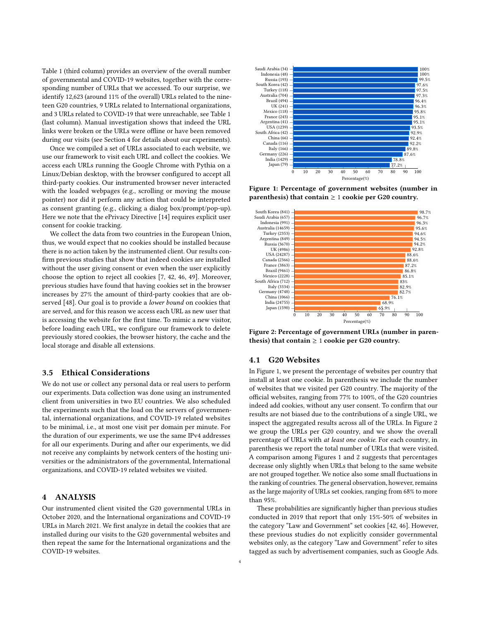Table [1](#page-1-0) (third column) provides an overview of the overall number of governmental and COVID-19 websites, together with the corresponding number of URLs that we accessed. To our surprise, we identify 12,623 (around 11% of the overall) URLs related to the nineteen G20 countries, 9 URLs related to International organizations, and 3 URLs related to COVID-19 that were unreachable, see Table [1](#page-1-0) (last column). Manual investigation shows that indeed the URL links were broken or the URLs were offline or have been removed during our visits (see Section [4](#page-3-0) for details about our experiments).

Once we compiled a set of URLs associated to each website, we use our framework to visit each URL and collect the cookies. We access each URLs running the Google Chrome with Pythia on a Linux/Debian desktop, with the browser configured to accept all third-party cookies. Our instrumented browser never interacted with the loaded webpages (e.g., scrolling or moving the mouse pointer) nor did it perform any action that could be interpreted as consent granting (e.g., clicking a dialog box/prompt/pop-up). Here we note that the ePrivacy Directive [\[14\]](#page-10-44) requires explicit user consent for cookie tracking.

We collect the data from two countries in the European Union, thus, we would expect that no cookies should be installed because there is no action taken by the instrumented client. Our results confirm previous studies that show that indeed cookies are installed without the user giving consent or even when the user explicitly choose the option to reject all cookies [\[7,](#page-10-45) [42,](#page-10-27) [46,](#page-10-46) [49\]](#page-10-47). Moreover, previous studies have found that having cookies set in the browser increases by 27% the amount of third-party cookies that are observed [\[48\]](#page-10-25). Our goal is to provide a lower bound on cookies that are served, and for this reason we access each URL as new user that is accessing the website for the first time. To mimic a new visitor, before loading each URL, we configure our framework to delete previously stored cookies, the browser history, the cache and the local storage and disable all extensions.

## 3.5 Ethical Considerations

We do not use or collect any personal data or real users to perform our experiments. Data collection was done using an instrumented client from universities in two EU countries. We also scheduled the experiments such that the load on the servers of governmental, international organizations, and COVID-19 related websites to be minimal, i.e., at most one visit per domain per minute. For the duration of our experiments, we use the same IPv4 addresses for all our experiments. During and after our experiments, we did not receive any complaints by network centers of the hosting universities or the administrators of the governmental, International organizations, and COVID-19 related websites we visited.

## <span id="page-3-0"></span>4 ANALYSIS

Our instrumented client visited the G20 governmental URLs in October 2020, and the International organizations and COVID-19 URLs in March 2021. We first analyze in detail the cookies that are installed during our visits to the G20 governmental websites and then repeat the same for the International organizations and the COVID-19 websites.

<span id="page-3-1"></span>

Figure 1: Percentage of government websites (number in parenthesis) that contain  $\geq 1$  cookie per G20 country.

<span id="page-3-2"></span>

Figure 2: Percentage of government URLs (number in parenthesis) that contain  $\geq 1$  cookie per G20 country.

#### 4.1 G20 Websites

In Figure [1,](#page-3-1) we present the percentage of websites per country that install at least one cookie. In parenthesis we include the number of websites that we visited per G20 country. The majority of the official websites, ranging from 77% to 100%, of the G20 countries indeed add cookies, without any user consent. To confirm that our results are not biased due to the contributions of a single URL, we inspect the aggregated results across all of the URLs. In Figure [2](#page-3-2) we group the URLs per G20 country, and we show the overall percentage of URLs with at least one cookie. For each country, in parenthesis we report the total number of URLs that were visited. A comparison among Figures [1](#page-3-1) and [2](#page-3-2) suggests that percentages decrease only slightly when URLs that belong to the same website are not grouped together. We notice also some small fluctuations in the ranking of countries. The general observation, however, remains as the large majority of URLs set cookies, ranging from 68% to more than 95%.

These probabilities are significantly higher than previous studies conducted in 2019 that report that only 15%-50% of websites in the category "Law and Government" set cookies [\[42,](#page-10-27) [46\]](#page-10-46). However, these previous studies do not explicitly consider governmental websites only, as the category "Law and Government" refer to sites tagged as such by advertisement companies, such as Google Ads.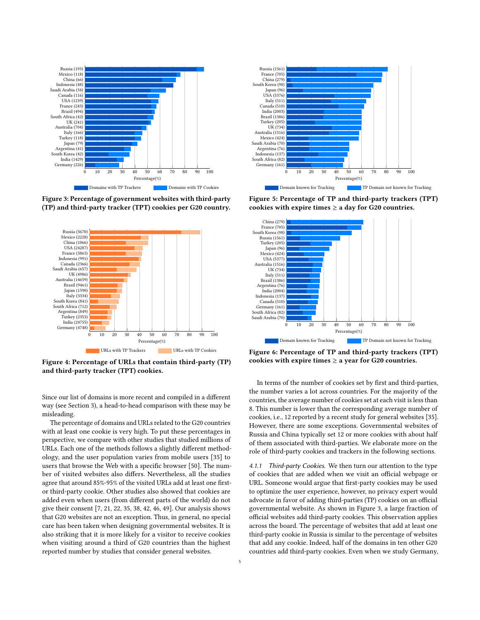<span id="page-4-0"></span>

Figure 3: Percentage of government websites with third-party (TP) and third-party tracker (TPT) cookies per G20 country.

<span id="page-4-1"></span>

Figure 4: Percentage of URLs that contain third-party (TP) and third-party tracker (TPT) cookies.

Since our list of domains is more recent and compiled in a different way (see Section [3\)](#page-2-0), a head-to-head comparison with these may be misleading.

The percentage of domains and URLs related to the G20 countries with at least one cookie is very high. To put these percentages in perspective, we compare with other studies that studied millions of URLs. Each one of the methods follows a slightly different methodology, and the user population varies from mobile users [\[35\]](#page-10-26) to users that browse the Web with a specific browser [\[50\]](#page-10-48). The number of visited websites also differs. Nevertheless, all the studies agree that around 85%-95% of the visited URLs add at least one firstor third-party cookie. Other studies also showed that cookies are added even when users (from different parts of the world) do not give their consent [\[7,](#page-10-45) [21,](#page-10-12) [22,](#page-10-13) [35,](#page-10-26) [38,](#page-10-9) [42,](#page-10-27) [46,](#page-10-46) [49\]](#page-10-47). Our analysis shows that G20 websites are not an exception. Thus, in general, no special care has been taken when designing governmental websites. It is also striking that it is more likely for a visitor to receive cookies when visiting around a third of G20 countries than the highest reported number by studies that consider general websites.

<span id="page-4-2"></span>

Figure 5: Percentage of TP and third-party trackers (TPT) cookies with expire times  $\geq$  a day for G20 countries.

<span id="page-4-3"></span>

Figure 6: Percentage of TP and third-party trackers (TPT) cookies with expire times  $\geq$  a year for G20 countries.

In terms of the number of cookies set by first and third-parties, the number varies a lot across countries. For the majority of the countries, the average number of cookies set at each visit is less than 8. This number is lower than the corresponding average number of cookies, i.e., 12 reported by a recent study for general websites [\[35\]](#page-10-26). However, there are some exceptions. Governmental websites of Russia and China typically set 12 or more cookies with about half of them associated with third-parties. We elaborate more on the role of third-party cookies and trackers in the following sections.

4.1.1 Third-party Cookies. We then turn our attention to the type of cookies that are added when we visit an official webpage or URL. Someone would argue that first-party cookies may be used to optimize the user experience, however, no privacy expert would advocate in favor of adding third-parties (TP) cookies on an official governmental website. As shown in Figure [3,](#page-4-0) a large fraction of official websites add third-party cookies. This observation applies across the board. The percentage of websites that add at least one third-party cookie in Russia is similar to the percentage of websites that add any cookie. Indeed, half of the domains in ten other G20 countries add third-party cookies. Even when we study Germany,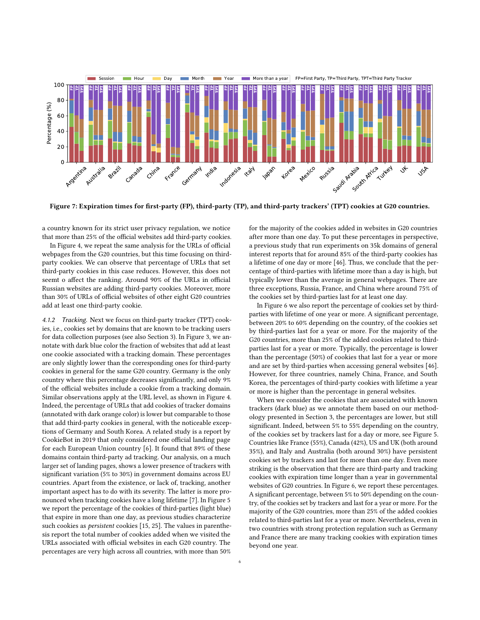<span id="page-5-0"></span>

Figure 7: Expiration times for first-party (FP), third-party (TP), and third-party trackers' (TPT) cookies at G20 countries.

a country known for its strict user privacy regulation, we notice that more than 25% of the official websites add third-party cookies.

In Figure [4,](#page-4-1) we repeat the same analysis for the URLs of official webpages from the G20 countries, but this time focusing on thirdparty cookies. We can observe that percentage of URLs that set third-party cookies in this case reduces. However, this does not seemt o affect the ranking. Around 90% of the URLs in official Russian websites are adding third-party cookies. Moreover, more than 30% of URLs of official websites of other eight G20 countries add at least one third-party cookie.

4.1.2 Tracking. Next we focus on third-party tracker (TPT) cookies, i.e., cookies set by domains that are known to be tracking users for data collection purposes (see also Section [3\)](#page-2-0). In Figure [3,](#page-4-0) we annotate with dark blue color the fraction of websites that add at least one cookie associated with a tracking domain. These percentages are only slightly lower than the corresponding ones for third-party cookies in general for the same G20 country. Germany is the only country where this percentage decreases significantly, and only 9% of the official websites include a cookie from a tracking domain. Similar observations apply at the URL level, as shown in Figure [4.](#page-4-1) Indeed, the percentage of URLs that add cookies of tracker domains (annotated with dark orange color) is lower but comparable to those that add third-party cookies in general, with the noticeable exceptions of Germany and South Korea. A related study is a report by CookieBot in 2019 that only considered one official landing page for each European Union country [\[6\]](#page-10-49). It found that 89% of these domains contain third-party ad tracking. Our analysis, on a much larger set of landing pages, shows a lower presence of trackers with significant variation (5% to 30%) in government domains across EU countries. Apart from the existence, or lack of, tracking, another important aspect has to do with its severity. The latter is more pronounced when tracking cookies have a long lifetime [\[7\]](#page-10-45). In Figure [5](#page-4-2) we report the percentage of the cookies of third-parties (light blue) that expire in more than one day, as previous studies characterize such cookies as persistent cookies [\[15,](#page-10-36) [25\]](#page-10-14). The values in parenthesis report the total number of cookies added when we visited the URLs associated with official websites in each G20 country. The percentages are very high across all countries, with more than 50%

for the majority of the cookies added in websites in G20 countries after more than one day. To put these percentages in perspective, a previous study that run experiments on 35k domains of general interest reports that for around 85% of the third-party cookies has a lifetime of one day or more [\[46\]](#page-10-46). Thus, we conclude that the percentage of third-parties with lifetime more than a day is high, but typically lower than the average in general webpages. There are three exceptions, Russia, France, and China where around 75% of the cookies set by third-parties last for at least one day.

In Figure [6](#page-4-3) we also report the percentage of cookies set by thirdparties with lifetime of one year or more. A significant percentage, between 20% to 60% depending on the country, of the cookies set by third-parties last for a year or more. For the majority of the G20 countries, more than 25% of the added cookies related to thirdparties last for a year or more. Typically, the percentage is lower than the percentage (50%) of cookies that last for a year or more and are set by third-parties when accessing general websites [\[46\]](#page-10-46). However, for three countries, namely China, France, and South Korea, the percentages of third-party cookies with lifetime a year or more is higher than the percentage in general websites.

When we consider the cookies that are associated with known trackers (dark blue) as we annotate them based on our methodology presented in Section [3,](#page-2-0) the percentages are lower, but still significant. Indeed, between 5% to 55% depending on the country, of the cookies set by trackers last for a day or more, see Figure [5.](#page-4-2) Countries like France (55%), Canada (42%), US and UK (both around 35%), and Italy and Australia (both around 30%) have persistent cookies set by trackers and last for more than one day. Even more striking is the observation that there are third-party and tracking cookies with expiration time longer than a year in governmental websites of G20 countries. In Figure [6,](#page-4-3) we report these percentages. A significant percentage, between 5% to 50% depending on the country, of the cookies set by trackers and last for a year or more. For the majority of the G20 countries, more than 25% of the added cookies related to third-parties last for a year or more. Nevertheless, even in two countries with strong protection regulation such as Germany and France there are many tracking cookies with expiration times beyond one year.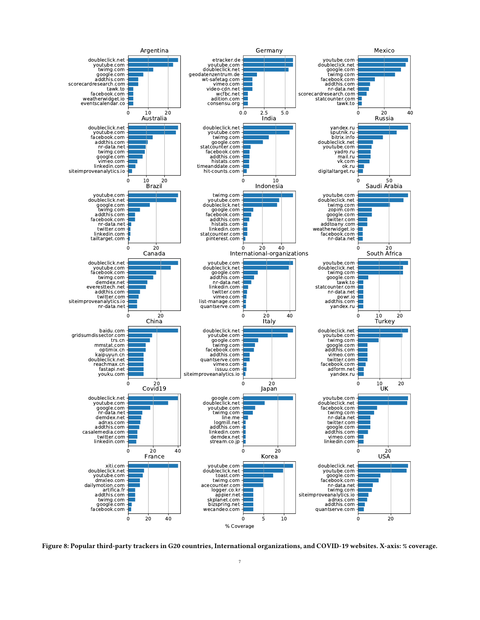<span id="page-6-0"></span>

Figure 8: Popular third-party trackers in G20 countries, International organizations, and COVID-19 websites. X-axis: % coverage.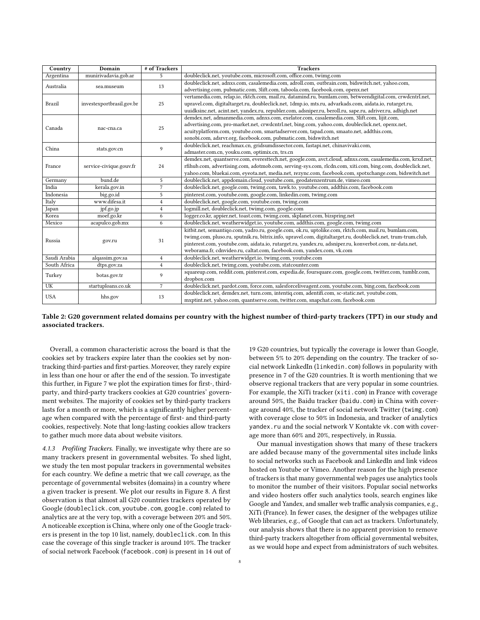<span id="page-7-0"></span>

| Country      | Domain                    | # of Trackers  | <b>Trackers</b>                                                                                               |  |
|--------------|---------------------------|----------------|---------------------------------------------------------------------------------------------------------------|--|
| Argentina    | munirivadavia.gob.ar      | 5              | doubleclick.net, youtube.com, microsoft.com, office.com, twimg.com                                            |  |
| Australia    |                           | 13             | doubleclick.net, adnxs.com, casalemedia.com, adroll.com, outbrain.com, bidswitch.net, yahoo.com,              |  |
|              | sea.museum                |                | advertising.com, pubmatic.com, 3lift.com, taboola.com, facebook.com, openx.net                                |  |
|              |                           | 25             | vertamedia.com, relap.io, rktch.com, mail.ru, datamind.ru, bumlam.com, betweendigital.com, crwdcntrl.net,     |  |
| Brazil       | investexportbrasil.gov.br |                | upravel.com, digitaltarget.ru, doubleclick.net, 1dmp.io, mts.ru, advarkads.com, aidata.io, rutarget.ru,       |  |
|              |                           |                | uuidksinc.net, acint.net, yandex.ru, republer.com, adsniper.ru, beroll.ru, sape.ru, adriver.ru, adhigh.net    |  |
|              | nac-cna.ca                | 25             | demdex.net, admanmedia.com, adnxs.com, exelator.com, casalemedia.com, 3lift.com, lijit.com,                   |  |
| Canada       |                           |                | advertising.com, pro-market.net, crwdcntrl.net, bing.com, yahoo.com, doubleclick.net, openx.net,              |  |
|              |                           |                | acuityplatform.com, youtube.com, smartadserver.com, tapad.com, smaato.net, addthis.com,                       |  |
|              |                           |                | sonobi.com, adsrvr.org, facebook.com, pubmatic.com, bidswitch.net                                             |  |
| China        | stats.gov.cn              | 9              | doubleclick.net, reachmax.cn, gridsumdissector.com, fastapi.net, chinavivaki.com,                             |  |
|              |                           |                | admaster.com.cn, youku.com, optimix.cn, trs.cn                                                                |  |
|              | service-civique.gouv.fr   | 24             | demdex.net, quantserve.com, everesttech.net, google.com, avct.cloud, adnxs.com, casalemedia.com, krxd.net,    |  |
| France       |                           |                | rfihub.com, advertising.com, adotmob.com, serving-sys.com, rlcdn.com, xiti.com, bing.com, doubleclick.net,    |  |
|              |                           |                | yahoo.com, bluekai.com, eyeota.net, media.net, rezync.com, facebook.com, spotxchange.com, bidswitch.net       |  |
| Germany      | bund.de                   | 5              | doubleclick.net, appdomain.cloud, youtube.com, geodatenzentrum.de, vimeo.com                                  |  |
| India        | kerala.gov.in             | $\overline{7}$ | doubleclick.net, google.com, twimg.com, tawk.to, youtube.com, addthis.com, facebook.com                       |  |
| Indonesia    | big.go.id                 | 5              | pinterest.com, youtube.com, google.com, linkedin.com, twimg.com                                               |  |
| Italy        | www.difesa.it             | $\overline{4}$ | doubleclick.net, google.com, youtube.com, twimg.com                                                           |  |
| Japan        | jpf.go.jp                 | $\overline{4}$ | logmill.net, doubleclick.net, twimg.com, google.com                                                           |  |
| Korea        | moef.go.kr                | 6              | logger.co.kr, appier.net, toast.com, twimg.com, skplanet.com, bizspring.net                                   |  |
| Mexico       | acapulco.gob.mx           | 6              | doubleclick.net, weatherwidget.io, youtube.com, addthis.com, google.com, twimg.com                            |  |
|              | gov.ru                    | 31             | kitbit.net, semantiqo.com, yadro.ru, google.com, ok.ru, uptolike.com, rktch.com, mail.ru, bumlam.com,         |  |
| Russia       |                           |                | twimg.com, pluso.ru, sputnik.ru, bitrix.info, upravel.com, digitaltarget.ru, doubleclick.net, trum-trum.club, |  |
|              |                           |                | pinterest.com, youtube.com, aidata.io, rutarget.ru, yandex.ru, adsniper.ru, konverbot.com, nr-data.net,       |  |
|              |                           |                | weborama.fr, cdnvideo.ru, caltat.com, facebook.com, yandex.com, vk.com                                        |  |
| Saudi Arabia | alqassim.gov.sa           | $\overline{4}$ | doubleclick.net, weatherwidget.io, twimg.com, youtube.com                                                     |  |
| South Africa | dtps.gov.za               | $\overline{4}$ | doubleclick.net, twimg.com, youtube.com, statcounter.com                                                      |  |
| Turkey       | botas.gov.tr              | 9              | squareup.com, reddit.com, pinterest.com, expedia.de, foursquare.com, google.com, twitter.com, tumblr.com,     |  |
|              |                           |                | dropbox.com                                                                                                   |  |
| UK           | startuploans.co.uk        | $\overline{7}$ | doubleclick.net, pardot.com, force.com, salesforceliveagent.com, youtube.com, bing.com, facebook.com          |  |
| <b>USA</b>   | hhs.gov                   | 13             | doubleclick.net, demdex.net, turn.com, intentig.com, adentifi.com, sc-static.net, youtube.com,                |  |
|              |                           |                | mxptint.net, yahoo.com, quantserve.com, twitter.com, snapchat.com, facebook.com                               |  |

Table 2: G20 government related domains per country with the highest number of third-party trackers (TPT) in our study and associated trackers.

Overall, a common characteristic across the board is that the cookies set by trackers expire later than the cookies set by nontracking third-parties and first-parties. Moreover, they rarely expire in less than one hour or after the end of the session. To investigate this further, in Figure [7](#page-5-0) we plot the expiration times for first-, thirdparty, and third-party trackers cookies at G20 countries' government websites. The majority of cookies set by third-party trackers lasts for a month or more, which is a significantly higher percentage when compared with the percentage of first- and third-party cookies, respectively. Note that long-lasting cookies allow trackers to gather much more data about website visitors.

4.1.3 Profiling Trackers. Finally, we investigate why there are so many trackers present in governmental websites. To shed light, we study the ten most popular trackers in governmental websites for each country. We define a metric that we call coverage, as the percentage of governmental websites (domains) in a country where a given tracker is present. We plot our results in Figure [8.](#page-6-0) A first observation is that almost all G20 countries trackers operated by Google (doubleclick.com, youtube.com, google.com) related to analytics are at the very top, with a coverage between 20% and 50%. A noticeable exception is China, where only one of the Google trackers is present in the top 10 list, namely, doubleclick.com. In this case the coverage of this single tracker is around 10%. The tracker of social network Facebook (facebook.com) is present in 14 out of

19 G20 countries, but typically the coverage is lower than Google, between 5% to 20% depending on the country. The tracker of social network LinkedIn (linkedin.com) follows in popularity with presence in 7 of the G20 countries. It is worth mentioning that we observe regional trackers that are very popular in some countries. For example, the XiTi tracker (xiti.com) in France with coverage around 50%, the Baidu tracker (baidu.com) in China with coverage around 40%, the tracker of social network Twitter (twimg.com) with coverage close to 50% in Indonesia, and tracker of analytics yandex.ru and the social network V Kontakte vk.com with coverage more than 60% and 20%, respectively, in Russia.

Our manual investigation shows that many of these trackers are added because many of the governmental sites include links to social networks such as Facebook and LinkedIn and link videos hosted on Youtube or Vimeo. Another reason for the high presence of trackers is that many governmental web pages use analytics tools to monitor the number of their visitors. Popular social networks and video hosters offer such analytics tools, search engines like Google and Yandex, and smaller web traffic analysis companies, e.g., XiTi (France). In fewer cases, the designer of the webpages utilize Web libraries, e.g., of Google that can act as trackers. Unfortunately, our analysis shows that there is no apparent provision to remove third-party trackers altogether from official governmental websites, as we would hope and expect from administrators of such websites.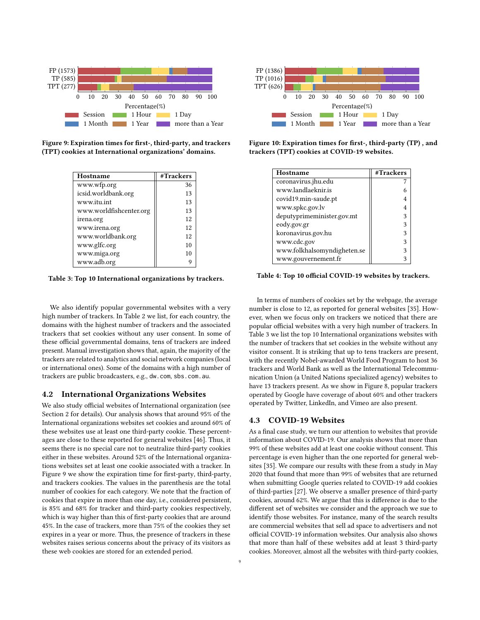<span id="page-8-0"></span>

<span id="page-8-1"></span>Figure 9: Expiration times for first-, third-party, and trackers (TPT) cookies at International organizations' domains.

| Hostname                | #Trackers |
|-------------------------|-----------|
| www.wfp.org             | 36        |
| icsid.worldbank.org     | 13        |
| www.itu.int             | 13        |
| www.worldfishcenter.org | 13        |
| irena.org               | 12        |
| www.irena.org           | 12        |
| www.worldbank.org       | 12        |
| www.glfc.org            | 10        |
| www.miga.org            | 10        |
| www.adb.org             |           |

Table 3: Top 10 International organizations by trackers.

We also identify popular governmental websites with a very high number of trackers. In Table [2](#page-7-0) we list, for each country, the domains with the highest number of trackers and the associated trackers that set cookies without any user consent. In some of these official governmental domains, tens of trackers are indeed present. Manual investigation shows that, again, the majority of the trackers are related to analytics and social network companies (local or international ones). Some of the domains with a high number of trackers are public broadcasters, e.g., dw.com, sbs.com.au.

#### 4.2 International Organizations Websites

We also study official websites of International organization (see Section [2](#page-1-1) for details). Our analysis shows that around 95% of the International organizations websites set cookies and around 60% of these websites use at least one third-party cookie. These percentages are close to these reported for general websites [\[46\]](#page-10-46). Thus, it seems there is no special care not to neutralize third-party cookies either in these websites. Around 52% of the International organizations websites set at least one cookie associated with a tracker. In Figure [9](#page-8-0) we show the expiration time for first-party, third-party, and trackers cookies. The values in the parenthesis are the total number of cookies for each category. We note that the fraction of cookies that expire in more than one day, i.e., considered persistent, is 85% and 68% for tracker and third-party cookies respectively, which is way higher than this of first-party cookies that are around 45%. In the case of trackers, more than 75% of the cookies they set expires in a year or more. Thus, the presence of trackers in these websites raises serious concerns about the privacy of its visitors as these web cookies are stored for an extended period.

<span id="page-8-2"></span>

Figure 10: Expiration times for first-, third-party (TP) , and trackers (TPT) cookies at COVID-19 websites.

<span id="page-8-3"></span>

| Hostname                    | #Trackers |
|-----------------------------|-----------|
| coronavirus.jhu.edu         |           |
| www.landlaeknir.is          |           |
| covid19.min-saude.pt        |           |
| www.spkc.gov.lv             |           |
| deputyprimeminister.gov.mt  |           |
| eody.gov.gr                 |           |
| koronavirus.gov.hu          | 3         |
| www.cdc.gov                 |           |
| www.folkhalsomyndigheten.se |           |
| www.gouvernement.fr         |           |

Table 4: Top 10 official COVID-19 websites by trackers.

In terms of numbers of cookies set by the webpage, the average number is close to 12, as reported for general websites [\[35\]](#page-10-26). However, when we focus only on trackers we noticed that there are popular official websites with a very high number of trackers. In Table [3](#page-8-1) we list the top 10 International organizations websites with the number of trackers that set cookies in the website without any visitor consent. It is striking that up to tens trackers are present, with the recently Nobel-awarded World Food Program to host 36 trackers and World Bank as well as the International Telecommunication Union (a United Nations specialized agency) websites to have 13 trackers present. As we show in Figure [8,](#page-6-0) popular trackers operated by Google have coverage of about 60% and other trackers operated by Twitter, LinkedIn, and Vimeo are also present.

#### 4.3 COVID-19 Websites

As a final case study, we turn our attention to websites that provide information about COVID-19. Our analysis shows that more than 99% of these websites add at least one cookie without consent. This percentage is even higher than the one reported for general websites [\[35\]](#page-10-26). We compare our results with these from a study in May 2020 that found that more than 99% of websites that are returned when submitting Google queries related to COVID-19 add cookies of third-parties [\[27\]](#page-10-50). We observe a smaller presence of third-party cookies, around 62%. We argue that this is difference is due to the different set of websites we consider and the approach we sue to identify those websites. For instance, many of the search results are commercial websites that sell ad space to advertisers and not official COVID-19 information websites. Our analysis also shows that more than half of these websites add at least 3 third-party cookies. Moreover, almost all the websites with third-party cookies,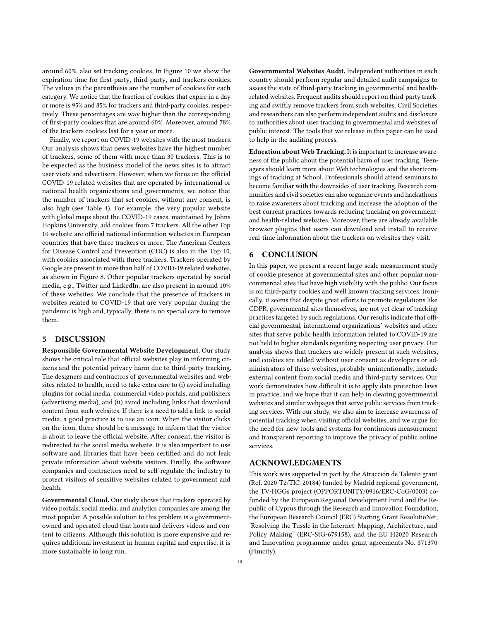around 60%, also set tracking cookies. In Figure [10](#page-8-2) we show the expiration time for first-party, third-party, and trackers cookies. The values in the parenthesis are the number of cookies for each category. We notice that the fraction of cookies that expire in a day or more is 95% and 85% for trackers and third-party cookies, respectively. These percentages are way higher than the corresponding of first-party cookies that are around 60%. Moreover, around 78% of the trackers cookies last for a year or more.

Finally, we report on COVID-19 websites with the most trackers. Our analysis shows that news websites have the highest number of trackers, some of them with more than 30 trackers. This is to be expected as the business model of the news sites is to attract user visits and advertisers. However, when we focus on the official COVID-19 related websites that are operated by international or national health organizations and governments, we notice that the number of trackers that set cookies, without any consent, is also high (see Table [4\)](#page-8-3). For example, the very popular website with global maps about the COVID-19 cases, maintained by Johns Hopkins University, add cookies from 7 trackers. All the other Top 10 website are official national information websites in European countries that have three trackers or more. The American Centers for Disease Control and Prevention (CDC) is also in the Top 10, with cookies associated with three trackers. Trackers operated by Google are present in more than half of COVID-19 related websites, as shown in Figure [8.](#page-6-0) Other popular trackers operated by social media, e.g., Twitter and LinkedIn, are also present in around 10% of these websites. We conclude that the presence of trackers in websites related to COVID-19 that are very popular during the pandemic is high and, typically, there is no special care to remove them.

## 5 DISCUSSION

Responsible Governmental Website Development. Our study shows the critical role that official websites play in informing citizens and the potential privacy harm due to third-party tracking. The designers and contractors of governmental websites and websites related to health, need to take extra care to (i) avoid including plugins for social media, commercial video portals, and publishers (advertising media), and (ii) avoid including links that download content from such websites. If there is a need to add a link to social media, a good practice is to use an icon. When the visitor clicks on the icon, there should be a message to inform that the visitor is about to leave the official website. After consent, the visitor is redirected to the social media website. It is also important to use software and libraries that have been certified and do not leak private information about website visitors. Finally, the software companies and contractors need to self-regulate the industry to protect visitors of sensitive websites related to government and health.

Governmental Cloud. Our study shows that trackers operated by video portals, social media, and analytics companies are among the most popular. A possible solution to this problem is a governmentowned and operated cloud that hosts and delivers videos and content to citizens. Although this solution is more expensive and requires additional investment in human capital and expertise, it is more sustainable in long run.

Governmental Websites Audit. Independent authorities in each country should perform regular and detailed audit campaigns to assess the state of third-party tracking in governmental and healthrelated websites. Frequent audits should report on third-party tracking and swiftly remove trackers from such websites. Civil Societies and researchers can also perform independent audits and disclosure to authorities about user tracking in governmental and websites of public interest. The tools that we release in this paper can be used to help in the auditing process.

Education about Web Tracking. It is important to increase awareness of the public about the potential harm of user tracking. Teenagers should learn more about Web technologies and the shortcomings of tracking at School. Professionals should attend seminars to become familiar with the downsides of user tracking. Research communities and civil societies can also organize events and hackathons to raise awareness about tracking and increase the adoption of the best current practices towards reducing tracking on governmentand health-related websites. Moreover, there are already available browser plugins that users can download and install to receive real-time information about the trackers on websites they visit.

## 6 CONCLUSION

In this paper, we present a recent large-scale measurement study of cookie presence at governmental sites and other popular noncommercial sites that have high visibility with the public. Our focus is on third-party cookies and well known tracking services. Ironically, it seems that despite great efforts to promote regulations like GDPR, governmental sites themselves, are not yet clear of tracking practices targeted by such regulations. Our results indicate that official governmental, international organizations' websites and other sites that serve public health information related to COVID-19 are not held to higher standards regarding respecting user privacy. Our analysis shows that trackers are widely present at such websites, and cookies are added without user consent as developers or administrators of these websites, probably unintentionally, include external content from social media and third-party services. Our work demonstrates how difficult it is to apply data protection laws in practice, and we hope that it can help in clearing governmental websites and similar webpages that serve public services from tracking services. With our study, we also aim to increase awareness of potential tracking when visiting official websites, and we argue for the need for new tools and systems for continuous measurement and transparent reporting to improve the privacy of public online services.

## ACKNOWLEDGMENTS

This work was supported in part by the Atracción de Talento grant (Ref. 2020-T2/TIC-20184) funded by Madrid regional government, the TV-HGGs project (OPPORTUNITY/0916/ERC-CoG/0003) cofunded by the European Regional Development Fund and the Republic of Cyprus through the Research and Innovation Foundation, the European Research Council (ERC) Starting Grant ResolutioNet; "Resolving the Tussle in the Internet: Mapping, Architecture, and Policy Making" (ERC-StG-679158), and the EU H2020 Research and Innovation programme under grant agreements No. 871370 (Pimcity).